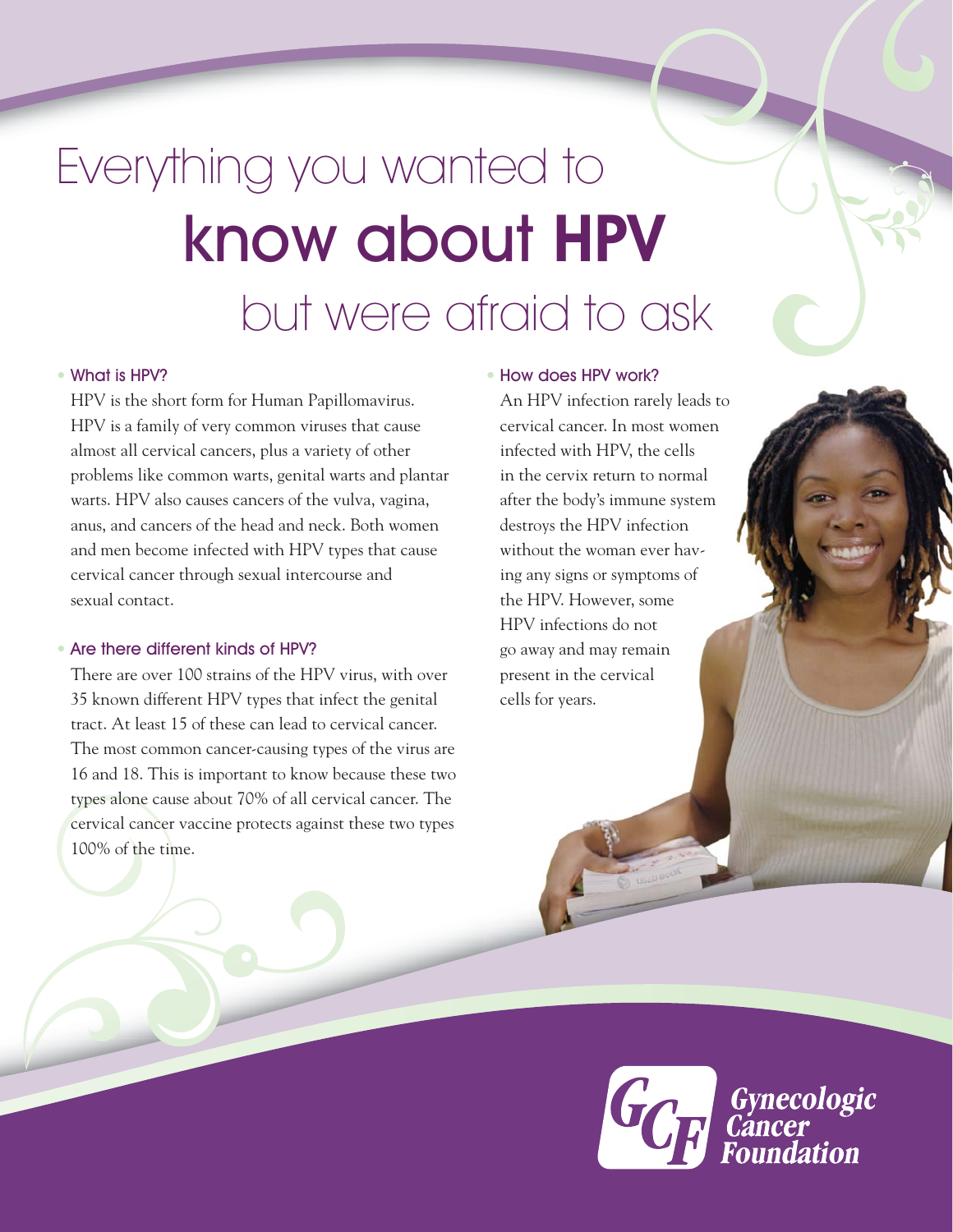# Everything you wanted to know about HPV but were afraid to ask

### • What is HPV?

HPV is the short form for Human Papillomavirus. HPV is a family of very common viruses that cause almost all cervical cancers, plus a variety of other problems like common warts, genital warts and plantar warts. HPV also causes cancers of the vulva, vagina, anus, and cancers of the head and neck. Both women and men become infected with HPV types that cause cervical cancer through sexual intercourse and sexual contact.

### • Are there different kinds of HPV?

There are over 100 strains of the HPV virus, with over 35 known different HPV types that infect the genital tract. At least 15 of these can lead to cervical cancer. The most common cancer-causing types of the virus are 16 and 18. This is important to know because these two types alone cause about 70% of all cervical cancer. The cervical cancer vaccine protects against these two types 100% of the time.

#### • How does HPV work?

An HPV infection rarely leads to cervical cancer. In most women infected with HPV, the cells in the cervix return to normal after the body's immune system destroys the HPV infection without the woman ever having any signs or symptoms of the HPV. However, some HPV infections do not go away and may remain present in the cervical cells for years.

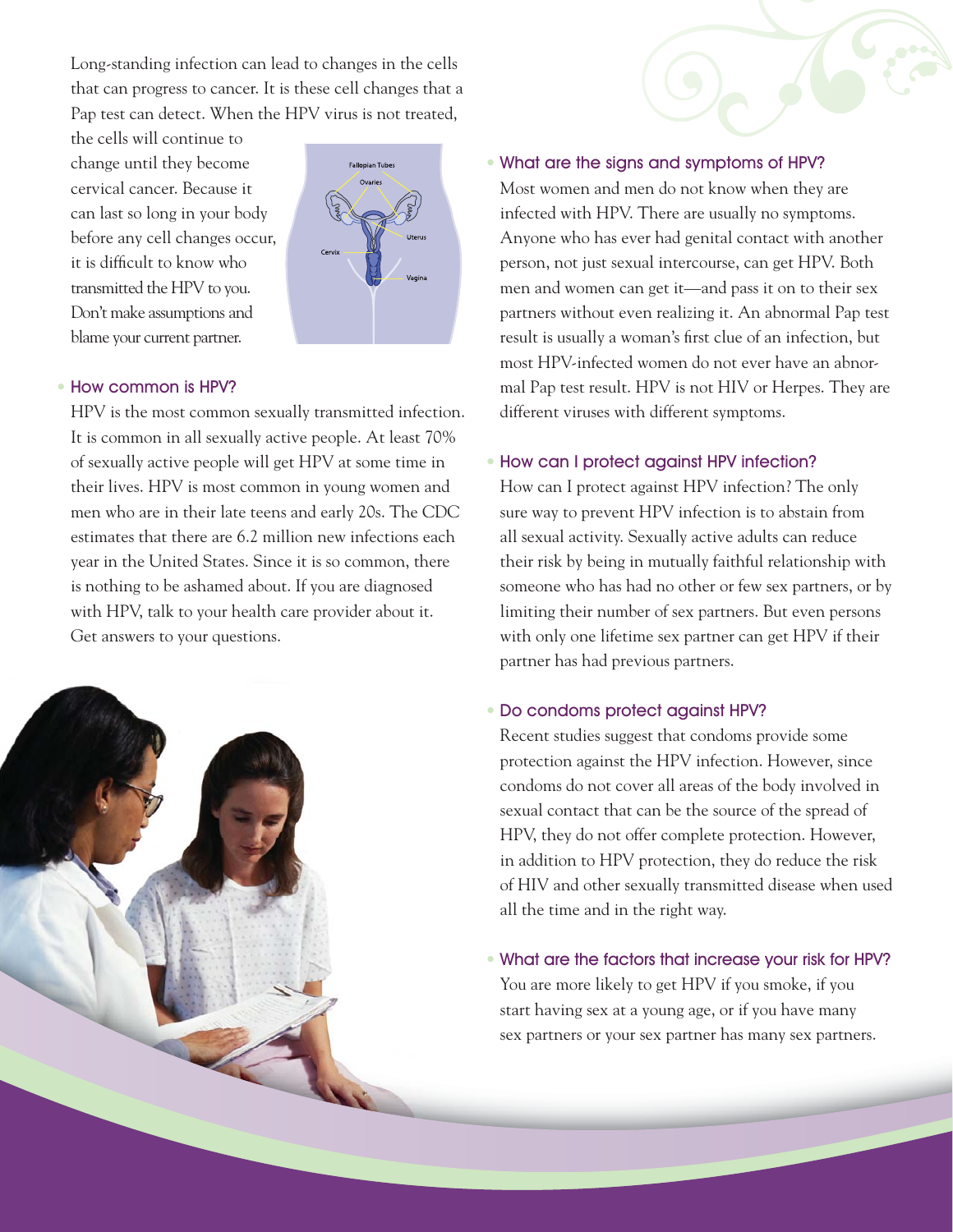• Long-standing infection can lead to changes in the cells that can progress to cancer. It is these cell changes that a Pap test can detect. When the HPV virus is not treated,

the cells will continue to change until they become cervical cancer. Because it can last so long in your body before any cell changes occur, it is difficult to know who transmitted the HPV to you. Don't make assumptions and blame your current partner.



#### • How common is HPV?

HPV is the most common sexually transmitted infection. It is common in all sexually active people. At least 70% of sexually active people will get HPV at some time in their lives. HPV is most common in young women and men who are in their late teens and early 20s. The CDC estimates that there are 6.2 million new infections each year in the United States. Since it is so common, there is nothing to be ashamed about. If you are diagnosed with HPV, talk to your health care provider about it. Get answers to your questions.

# • What are the signs and symptoms of HPV?

Most women and men do not know when they are infected with HPV. There are usually no symptoms. Anyone who has ever had genital contact with another person, not just sexual intercourse, can get HPV. Both men and women can get it—and pass it on to their sex partners without even realizing it. An abnormal Pap test result is usually a woman's first clue of an infection, but most HPV-infected women do not ever have an abnormal Pap test result. HPV is not HIV or Herpes. They are different viruses with different symptoms.

#### • How can I protect against HPV infection?

How can I protect against HPV infection? The only sure way to prevent HPV infection is to abstain from all sexual activity. Sexually active adults can reduce their risk by being in mutually faithful relationship with someone who has had no other or few sex partners, or by limiting their number of sex partners. But even persons with only one lifetime sex partner can get HPV if their partner has had previous partners.

## • Do condoms protect against HPV?

Recent studies suggest that condoms provide some protection against the HPV infection. However, since condoms do not cover all areas of the body involved in sexual contact that can be the source of the spread of HPV, they do not offer complete protection. However, in addition to HPV protection, they do reduce the risk of HIV and other sexually transmitted disease when used all the time and in the right way.

• What are the factors that increase your risk for HPV? You are more likely to get HPV if you smoke, if you start having sex at a young age, or if you have many sex partners or your sex partner has many sex partners.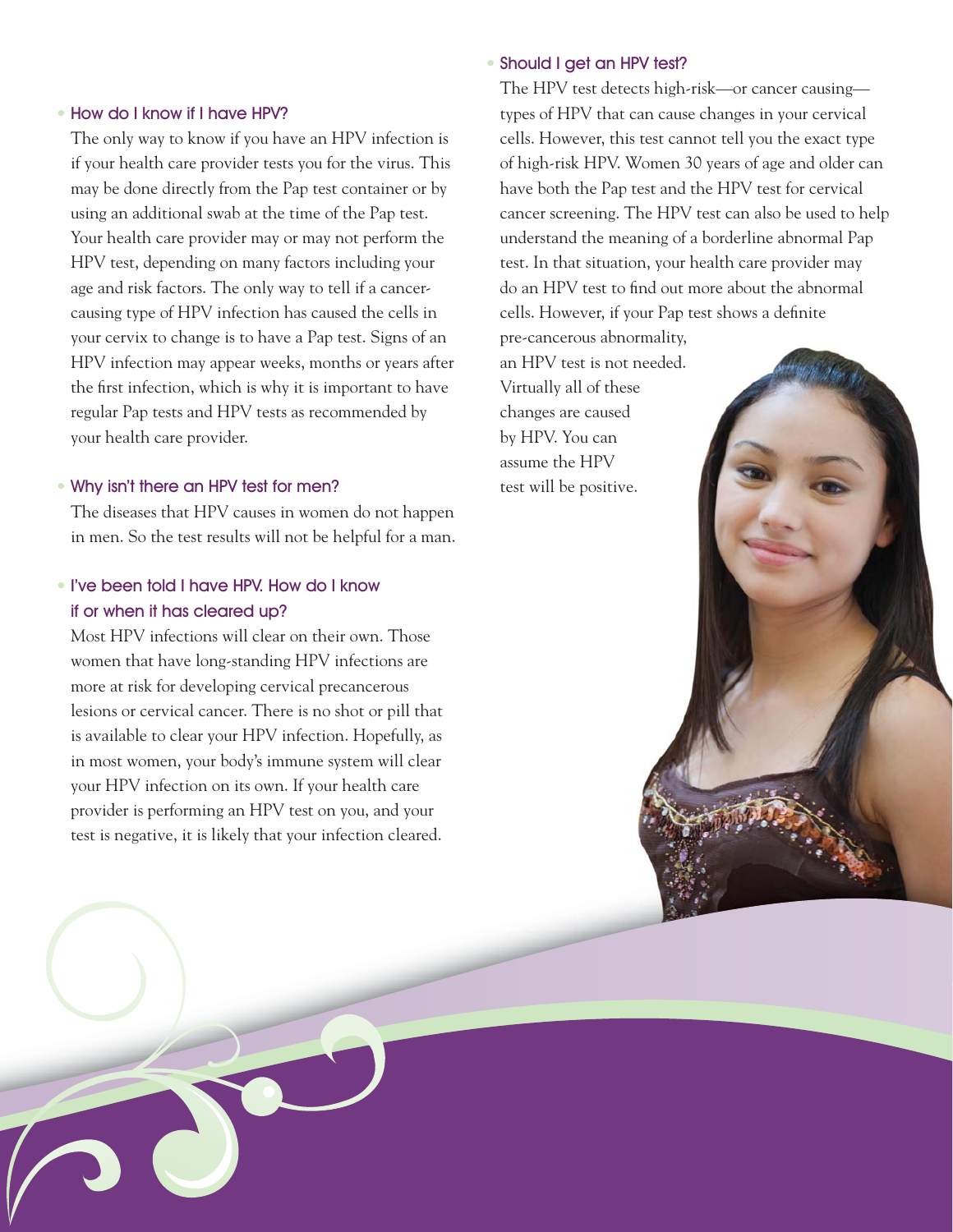## • How do I know if I have HPV?

The only way to know if you have an HPV infection is if your health care provider tests you for the virus. This may be done directly from the Pap test container or by using an additional swab at the time of the Pap test. Your health care provider may or may not perform the HPV test, depending on many factors including your age and risk factors. The only way to tell if a cancercausing type of HPV infection has caused the cells in your cervix to change is to have a Pap test. Signs of an HPV infection may appear weeks, months or years after the first infection, which is why it is important to have regular Pap tests and HPV tests as recommended by your health care provider.

## • Why isn't there an HPV test for men?

The diseases that HPV causes in women do not happen in men. So the test results will not be helpful for a man.

## • I've been told I have HPV. How do I know if or when it has cleared up?

Most HPV infections will clear on their own. Those women that have long-standing HPV infections are more at risk for developing cervical precancerous lesions or cervical cancer. There is no shot or pill that is available to clear your HPV infection. Hopefully, as in most women, your body's immune system will clear your HPV infection on its own. If your health care provider is performing an HPV test on you, and your test is negative, it is likely that your infection cleared.

## • Should I get an HPV test?

The HPV test detects high-risk—or cancer causing types of HPV that can cause changes in your cervical cells. However, this test cannot tell you the exact type of high-risk HPV. Women 30 years of age and older can have both the Pap test and the HPV test for cervical cancer screening. The HPV test can also be used to help understand the meaning of a borderline abnormal Pap test. In that situation, your health care provider may do an HPV test to find out more about the abnormal cells. However, if your Pap test shows a definite

pre-cancerous abnormality, an HPV test is not needed. Virtually all of these changes are caused by HPV. You can assume the HPV test will be positive.